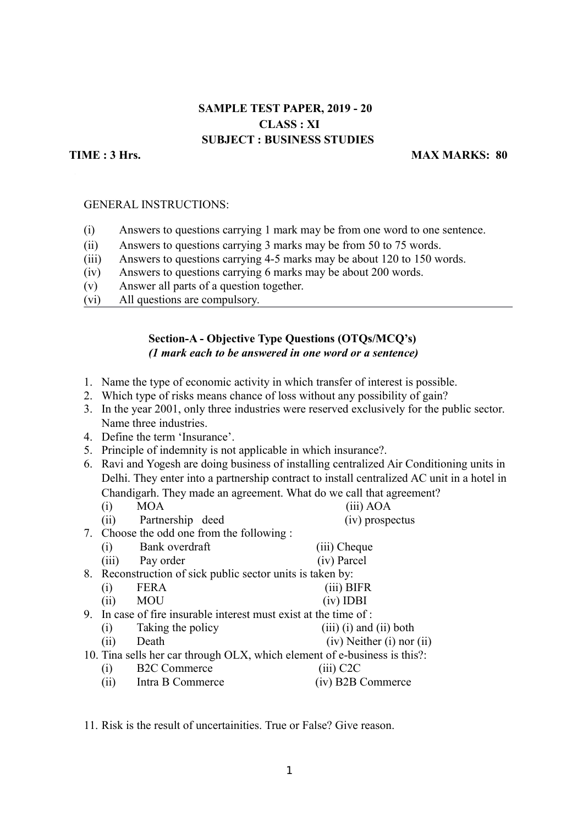# **SAMPLE TEST PAPER, 2019 - 20 CLASS : XI SUBJECT : BUSINESS STUDIES**

#### **TIME : 3 Hrs.** MAX MARKS: 80

#### GENERAL INSTRUCTIONS:

- (i) Answers to questions carrying 1 mark may be from one word to one sentence.
- (ii) Answers to questions carrying 3 marks may be from 50 to 75 words.
- (iii) Answers to questions carrying 4-5 marks may be about 120 to 150 words.
- (iv) Answers to questions carrying 6 marks may be about 200 words.
- (v) Answer all parts of a question together.
- (vi) All questions are compulsory.

## **Section-A - Objective Type Questions (OTQs/MCQ's)** *(1 mark each to be answered in one word or a sentence)*

- 1. Name the type of economic activity in which transfer of interest is possible.
- 2. Which type of risks means chance of loss without any possibility of gain?
- 3. In the year 2001, only three industries were reserved exclusively for the public sector. Name three industries.
- 4. Define the term 'Insurance'.
- 5. Principle of indemnity is not applicable in which insurance?.
- 6. Ravi and Yogesh are doing business of installing centralized Air Conditioning units in Delhi. They enter into a partnership contract to install centralized AC unit in a hotel in Chandigarh. They made an agreement. What do we call that agreement?

| (i)                                                                       | <b>MOA</b>          | $(iii)$ AOA                     |
|---------------------------------------------------------------------------|---------------------|---------------------------------|
| (ii)                                                                      | Partnership deed    | (iv) prospectus                 |
| 7. Choose the odd one from the following :                                |                     |                                 |
| (i)                                                                       | Bank overdraft      | (iii) Cheque                    |
| (iii)                                                                     | Pay order           | (iv) Parcel                     |
| 8. Reconstruction of sick public sector units is taken by:                |                     |                                 |
| (i)                                                                       | <b>FERA</b>         | (iii) BIFR                      |
| (ii)                                                                      | <b>MOU</b>          | $(iv)$ IDBI                     |
| 9. In case of fire insurable interest must exist at the time of :         |                     |                                 |
| (i)                                                                       | Taking the policy   | $(iii)$ (i) and (ii) both       |
| (ii)                                                                      | Death               | $(iv)$ Neither $(i)$ nor $(ii)$ |
| 10. Tina sells her car through OLX, which element of e-business is this?: |                     |                                 |
| (i)                                                                       | <b>B2C</b> Commerce | $(iii)$ C <sub>2</sub> C        |
| (ii)                                                                      | Intra B Commerce    | (iv) B2B Commerce               |

11. Risk is the result of uncertainities. True or False? Give reason.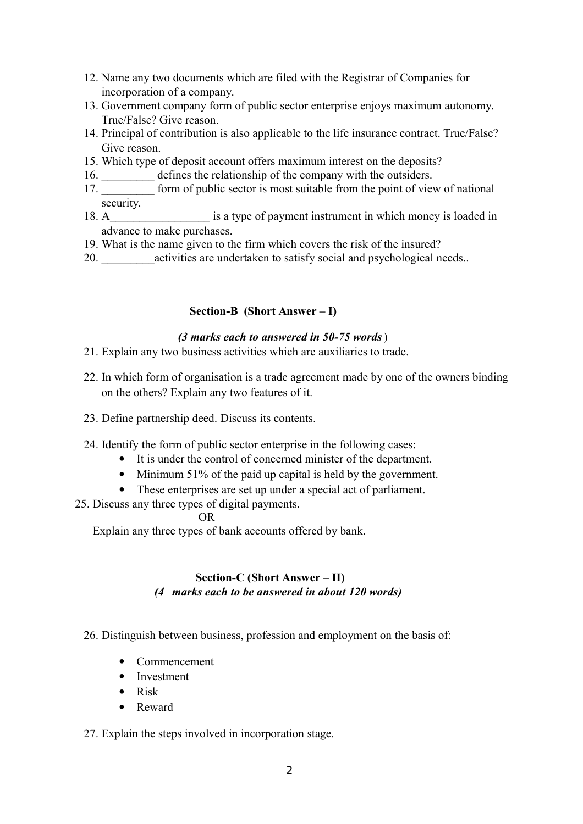- 12. Name any two documents which are filed with the Registrar of Companies for incorporation of a company.
- 13. Government company form of public sector enterprise enjoys maximum autonomy. True/False? Give reason.
- 14. Principal of contribution is also applicable to the life insurance contract. True/False? Give reason.
- 15. Which type of deposit account offers maximum interest on the deposits?
- 16. **\_\_\_\_\_\_\_** defines the relationship of the company with the outsiders.
- 17. **Example 17. form of public sector is most suitable from the point of view of national** security.
- 18. A satype of payment instrument in which money is loaded in advance to make purchases.
- 19. What is the name given to the firm which covers the risk of the insured?
- 20.  $\qquad \qquad$  activities are undertaken to satisfy social and psychological needs..

# **Section-B (Short Answer – I)**

## *(3 marks each to answered in 50-75 words*)

- 21. Explain any two business activities which are auxiliaries to trade.
- 22. In which form of organisation is a trade agreement made by one of the owners binding on the others? Explain any two features of it.
- 23. Define partnership deed. Discuss its contents.
- 24. Identify the form of public sector enterprise in the following cases:
	- It is under the control of concerned minister of the department.
	- Minimum 51% of the paid up capital is held by the government.
	- These enterprises are set up under a special act of parliament.
- 25. Discuss any three types of digital payments.

## OR

Explain any three types of bank accounts offered by bank.

# **Section-C (Short Answer – II)** *(4 marks each to be answered in about 120 words)*

## 26. Distinguish between business, profession and employment on the basis of:

- Commencement
- Investment
- $\bullet$  Risk
- Reward

## 27. Explain the steps involved in incorporation stage.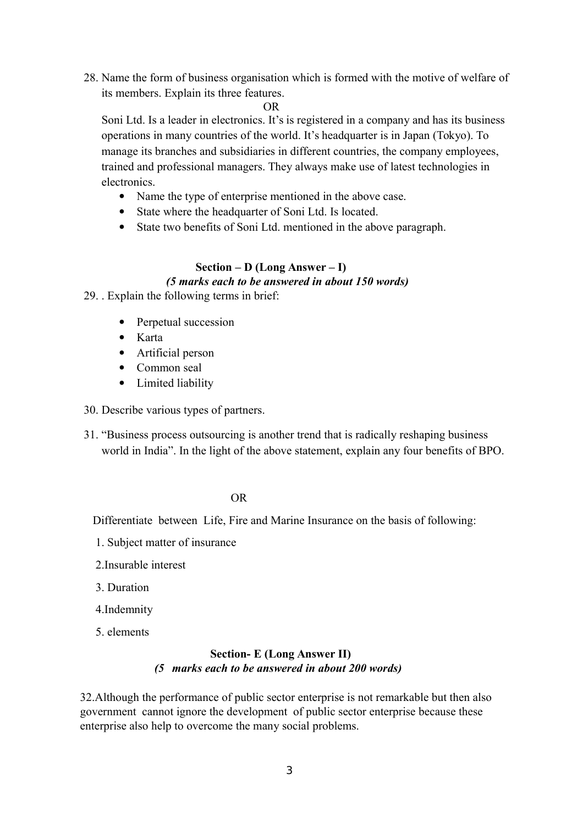28. Name the form of business organisation which is formed with the motive of welfare of its members. Explain its three features.

OR

Soni Ltd. Is a leader in electronics. It's is registered in a company and has its business operations in many countries of the world. It's headquarter is in Japan (Tokyo). To manage its branches and subsidiaries in different countries, the company employees, trained and professional managers. They always make use of latest technologies in electronics.

- Name the type of enterprise mentioned in the above case.
- State where the headquarter of Soni Ltd. Is located.
- State two benefits of Soni Ltd. mentioned in the above paragraph.

# **Section – D (Long Answer – I)**  *(5 marks each to be answered in about 150 words)*

29. . Explain the following terms in brief:

- Perpetual succession
- Karta
- Artificial person
- Common seal
- Limited liability

30. Describe various types of partners.

31. "Business process outsourcing is another trend that is radically reshaping business world in India". In the light of the above statement, explain any four benefits of BPO.

#### OR

Differentiate between Life, Fire and Marine Insurance on the basis of following:

- 1. Subject matter of insurance
- 2.Insurable interest
- 3. Duration
- 4.Indemnity
- 5. elements

## **Section- E (Long Answer II)** *(5 marks each to be answered in about 200 words)*

32.Although the performance of public sector enterprise is not remarkable but then also government cannot ignore the development of public sector enterprise because these enterprise also help to overcome the many social problems.